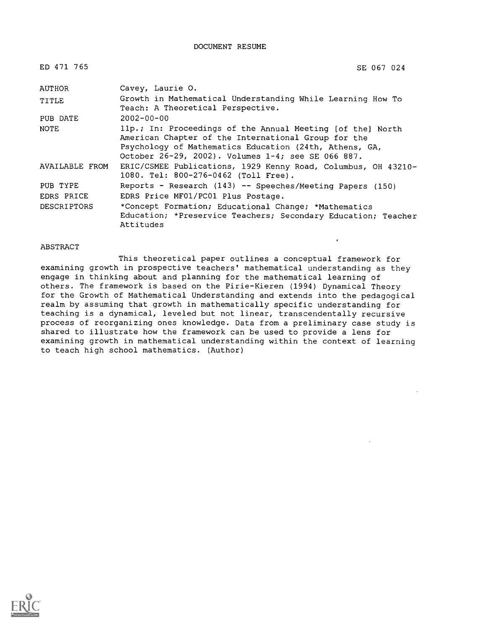DOCUMENT RESUME

| ED 471 765         | SE 067 024                                                                                                                                                                                                                        |
|--------------------|-----------------------------------------------------------------------------------------------------------------------------------------------------------------------------------------------------------------------------------|
| AUTHOR             | Cavey, Laurie O.                                                                                                                                                                                                                  |
| TITLE              | Growth in Mathematical Understanding While Learning How To<br>Teach: A Theoretical Perspective.                                                                                                                                   |
| PUB DATE           | $2002 - 00 - 00$                                                                                                                                                                                                                  |
| <b>NOTE</b>        | 11p.; In: Proceedings of the Annual Meeting [of the] North<br>American Chapter of the International Group for the<br>Psychology of Mathematics Education (24th, Athens, GA,<br>October 26-29, 2002). Volumes 1-4; see SE 066 887. |
| AVAILABLE FROM     | ERIC/CSMEE Publications, 1929 Kenny Road, Columbus, OH 43210-<br>1080. Tel: 800-276-0462 (Toll Free).                                                                                                                             |
| PUB TYPE           | Reports - Research (143) -- Speeches/Meeting Papers (150)                                                                                                                                                                         |
| EDRS PRICE         | EDRS Price MF01/PC01 Plus Postage.                                                                                                                                                                                                |
| <b>DESCRIPTORS</b> | *Concept Formation; Educational Change; *Mathematics<br>Education; *Preservice Teachers; Secondary Education; Teacher<br>Attitudes                                                                                                |

#### ABSTRACT

This theoretical paper outlines a conceptual framework for examining growth in prospective teachers' mathematical understanding as they engage in thinking about and planning for the mathematical learning of others. The framework is based on the Pirie-Kieren (1994) Dynamical Theory for the Growth of Mathematical Understanding and extends into the pedagogical realm by assuming that growth in mathematically specific understanding for teaching is a dynamical, leveled but not linear, transcendentally recursive process of reorganizing ones knowledge. Data from a preliminary case study is shared to illustrate how the framework can be used to provide a lens for examining growth in mathematical understanding within the context of learning to teach high school mathematics. (Author)

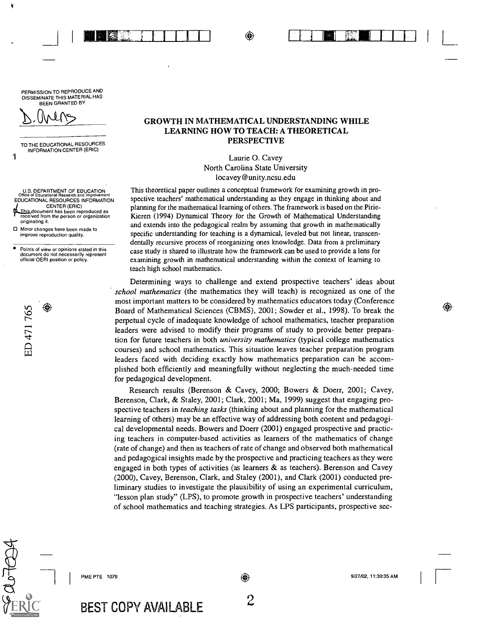⊝

**INN REAL TEACHER** 

PERMISSION TO REPRODUCE AND DISSEMINATE THIS MATERIAL HAS BEEN GRANTED BY

 $\sqrt{ }$ 

ŧ

1

TO THE EDUCATIONAL RESOURCES INFORMATION CENTER (ERIC)

U.S. DEPARTMENT OF EDUCATION Office of Educational Research and Improvement EDUCATIONAL RESOURCES INFORMATION CENTER (ERIC) This document has been reproduced as  $\begin{array}{ccc} \mathbf{F} \ \mathbf{F} \ \mathbf{F} \end{array}$ originating it.

□ Minor changes have been made to improve reproduction quality.

Points of view or opinions stated in this document do not necessarily represent official OERI position or policy.

⊕

ED 471765

### GROWTH IN MATHEMATICAL UNDERSTANDING WHILE LEARNING HOW TO TEACH: A THEORETICAL PERSPECTIVE

Laurie 0. Cavey North Carolina State University locavey @unity.ncsu.edu

This theoretical paper outlines a conceptual framework for examining growth in prospective teachers' mathematical understanding as they engage in thinking about and planning for the mathematical learning of others. The framework is based on the Pine-Kieren (1994) Dynamical Theory for the Growth of Mathematical Understanding and extends into the pedagogical realm by assuming that growth in mathematically specific understanding for teaching is a dynamical, leveled but not linear, transcendentally recursive process of reorganizing ones knowledge. Data from a preliminary case study is shared to illustrate how the framework can be used to provide a lens for examining growth in mathematical understanding within the context of learning to teach high school mathematics.

Determining ways to challenge and extend prospective teachers' ideas about school mathematics (the mathematics they will teach) is recognized as one of the most important matters to be considered by mathematics educators today (Conference Board of Mathematical Sciences (CBMS), 2001; Sowder et al., 1998). To break the perpetual cycle of inadequate knowledge of school mathematics, teacher preparation leaders were advised to modify their programs of study to provide better preparation for future teachers in both *university mathematics* (typical college mathematics courses) and school mathematics. This situation leaves teacher preparation program leaders faced with deciding exactly how mathematics preparation can be accomplished both efficiently and meaningfully without neglecting the much-needed time for pedagogical development.

Research results (Berenson & Cavey, 2000; Bowers & Doerr, 2001; Cavey, Berenson, Clark, & Staley, 2001; Clark, 2001; Ma, 1999) suggest that engaging prospective teachers in *teaching tasks* (thinking about and planning for the mathematical learning of others) may be an effective way of addressing both content and pedagogical developmental needs. Bowers and Doerr (2001) engaged prospective and practicing teachers in computer-based activities as learners of the mathematics of change (rate of change) and then as teachers of rate of change and observed both mathematical and pedagogical insights made by the prospective and practicing teachers as they were engaged in both types of activities (as learners  $\&$  as teachers). Berenson and Cavey (2000), Cavey, Berenson, Clark, and Staley (2001), and Clark (2001) conducted preliminary studies to investigate the plausibility of using an experimental curriculum, "lesson plan study" (LPS), to promote growth in prospective teachers' understanding of school mathematics and teaching strategies. As LPS participants, prospective sec-

PME PTE 1079

⊕

BEST COPY AVAILABLE 2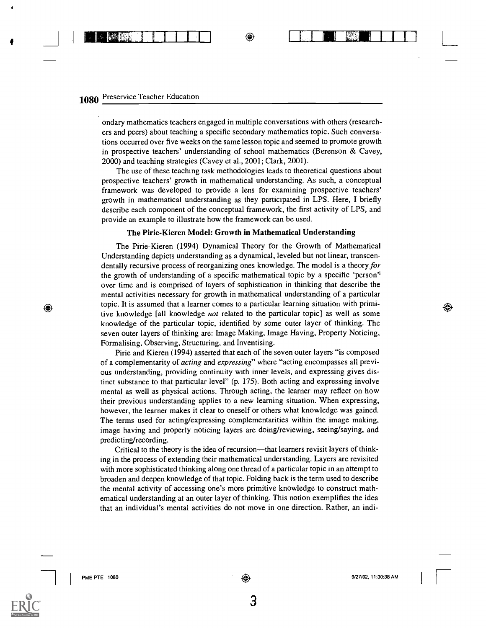### 1080 Preservice Teacher Education

 $\sim$   $\sim$   $\sim$ 

ondary mathematics teachers engaged in multiple conversations with others (researchers and peers) about teaching a specific secondary mathematics topic. Such conversations occurred over five weeks on the same lesson topic and seemed to promote growth in prospective teachers' understanding of school mathematics (Berenson & Cavey, 2000) and teaching strategies (Cavey et al., 2001; Clark, 2001).

<sup>I</sup> II

 $\overline{L}$ 

⊛

The use of these teaching task methodologies leads to theoretical questions about prospective teachers' growth in mathematical understanding. As such, a conceptual framework was developed to provide a lens for examining prospective teachers' growth in mathematical understanding as they participated in LPS. Here, I briefly describe each component of the conceptual framework, the first activity of LPS, and provide an example to illustrate how the framework can be used.

#### The Pirie-Kieren Model: Growth in Mathematical Understanding

The Pirie-Kieren (1994) Dynamical Theory for the Growth of Mathematical Understanding depicts understanding as a dynamical, leveled but not linear, transcendentally recursive process of reorganizing ones knowledge. The model is a theory for the growth of understanding of a specific mathematical topic by a specific 'person'' over time and is comprised of layers of sophistication in thinking that describe the mental activities necessary for growth in mathematical understanding of a particular topic. It is assumed that a learner comes to a particular learning situation with primitive knowledge [all knowledge not related to the particular topic] as well as some knowledge of the particular topic, identified by some outer layer of thinking. The seven outer layers of thinking are: Image Making, Image Having, Property Noticing, Formalising, Observing, Structuring, and Inventising.

Pirie and Kieren (1994) asserted that each of the seven outer layers "is composed of a complementarity of acting and expressing" where "acting encompasses all previous understanding, providing continuity with inner levels, and expressing gives distinct substance to that particular level" (p. 175). Both acting and expressing involve mental as well as physical actions. Through acting, the learner may reflect on how their previous understanding applies to a new learning situation. When expressing, however, the learner makes it clear to oneself or others what knowledge was gained. The terms used for acting/expressing complementarities within the image making, image having and property noticing layers are doing/reviewing, seeing/saying, and predicting/recording.

Critical to the theory is the idea of recursion—that learners revisit layers of thinking in the process of extending their mathematical understanding. Layers are revisited with more sophisticated thinking along one thread of a particular topic in an attempt to broaden and deepen knowledge of that topic. Folding back is the term used to describe the mental activity of accessing one's more primitive knowledge to construct mathematical understanding at an outer layer of thinking. This notion exemplifies the idea that an individual's mental activities do not move in one direction. Rather, an indi-

⊛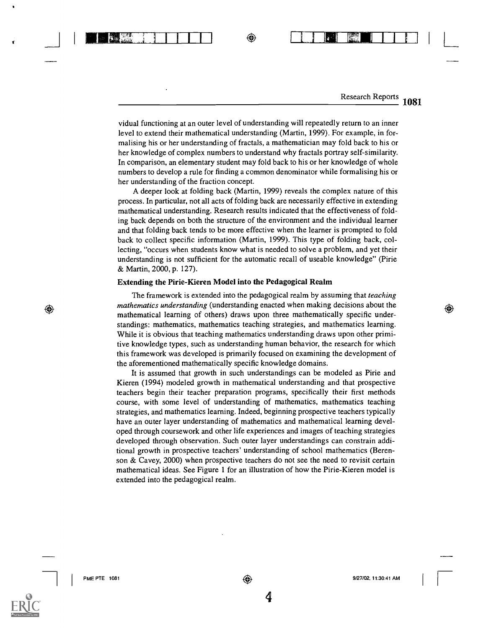Research Reports 1081

⊕

1 VildiliN111111111111111111 17717/117:1111-TTT1 L

vidual functioning at an outer level of understanding will repeatedly return to an inner level to extend their mathematical understanding (Martin, 1999). For example, in formalising his or her understanding of fractals, a mathematician may fold back to his or her knowledge of complex numbers to understand why fractals portray self-similarity. In comparison, an elementary student may fold back to his or her knowledge of whole numbers to develop a rule for finding a common denominator while formalising his or her understanding of the fraction concept.

A deeper look at folding back (Martin, 1999) reveals the complex nature of this process. In particular, not all acts of folding back are necessarily effective in extending mathematical understanding. Research results indicated that the effectiveness of folding back depends on both the structure of the environment and the individual learner and that folding back tends to be more effective when the learner is prompted to fold back to collect specific information (Martin, 1999). This type of folding back, collecting, "occurs when students know what is needed to solve a problem, and yet their understanding is not sufficient for the automatic recall of useable knowledge" (Pirie & Martin, 2000, p. 127).

#### Extending the Pirie-Kieren Model into the Pedagogical Realm

The framework is extended into the pedagogical realm by assuming that *teaching* mathematics understanding (understanding enacted when making decisions about the mathematical learning of others) draws upon three mathematically specific understandings: mathematics, mathematics teaching strategies, and mathematics learning. While it is obvious that teaching mathematics understanding draws upon other primitive knowledge types, such as understanding human behavior, the research for which this framework was developed is primarily focused on examining the development of the aforementioned mathematically specific knowledge domains.

It is assumed that growth in such understandings can be modeled as Pirie and Kieren (1994) modeled growth in mathematical understanding and that prospective teachers begin their teacher preparation programs, specifically their first methods course, with some level of understanding of mathematics, mathematics teaching strategies, and mathematics learning. Indeed, beginning prospective teachers typically have an outer layer understanding of mathematics and mathematical learning developed through coursework and other life experiences and images of teaching strategies developed through observation. Such outer layer understandings can constrain additional growth in prospective teachers' understanding of school mathematics (Berenson & Cavey, 2000) when prospective teachers do not see the need to revisit certain mathematical ideas. See Figure 1 for an illustration of how the Pirie-Kieren model is extended into the pedagogical realm.

⊕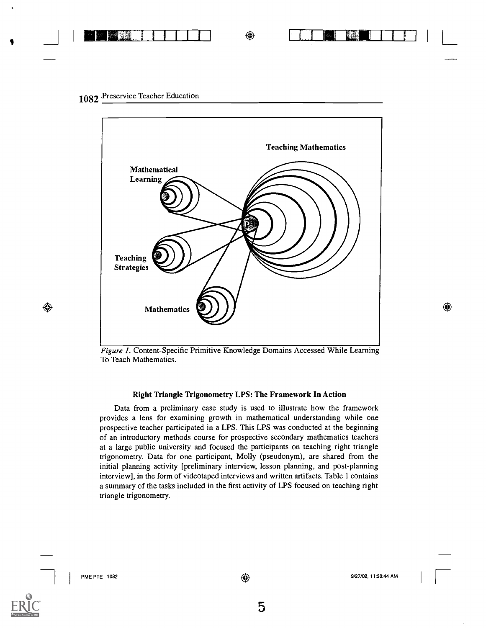

1082 Preservice Teacher Education



Figure 1. Content-Specific Primitive Knowledge Domains Accessed While Learning To Teach Mathematics.

#### Right Triangle Trigonometry LPS: The Framework In Action

Data from a preliminary case study is used to illustrate how the framework provides a lens for examining growth in mathematical understanding while one prospective teacher participated in a LPS. This LPS was conducted at the beginning of an introductory methods course for prospective secondary mathematics teachers at a large public university and focused the participants on teaching right triangle trigonometry. Data for one participant, Molly (pseudonym), are shared from the initial planning activity [preliminary interview, lesson planning, and post-planning interview], in the form of videotaped interviews and written artifacts. Table 1 contains a summary of the tasks included in the first activity of LPS focused on teaching right triangle trigonometry.

⊕

◈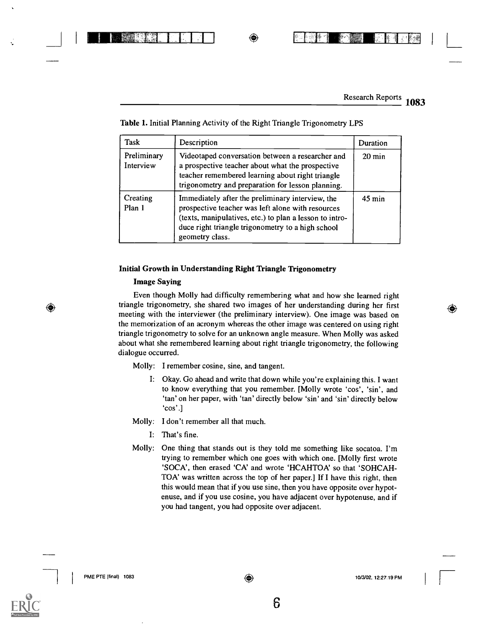## I NUMBER OF STREET OF STREET AND INTEREST

Research Reports 1083

L

(C)

| Task                     | Description                                                                                                                                                                                                                              | Duration            |
|--------------------------|------------------------------------------------------------------------------------------------------------------------------------------------------------------------------------------------------------------------------------------|---------------------|
| Preliminary<br>Interview | Videotaped conversation between a researcher and<br>a prospective teacher about what the prospective<br>teacher remembered learning about right triangle<br>trigonometry and preparation for lesson planning.                            | $20 \text{ min}$    |
| Creating<br>Plan 1       | Immediately after the preliminary interview, the<br>prospective teacher was left alone with resources<br>(texts, manipulatives, etc.) to plan a lesson to intro-<br>duce right triangle trigonometry to a high school<br>geometry class. | $45 \,\mathrm{min}$ |

#### Table 1. Initial Planning Activity of the Right Triangle Trigonometry LPS

#### Initial Growth in Understanding Right Triangle Trigonometry

#### Image Saying

◈

Even though Molly had difficulty remembering what and how she learned right triangle trigonometry, she shared two images of her understanding during her first meeting with the interviewer (the preliminary interview). One image was based on the memorization of an acronym whereas the other image was centered on using right triangle trigonometry to solve for an unknown angle measure. When Molly was asked about what she remembered learning about right triangle trigonometry, the following dialogue occurred.

Molly: I remember cosine, sine, and tangent.

I: Okay. Go ahead and write that down while you're explaining this. I want to know everything that you remember. [Molly wrote 'cos', 'sin', and `tan' on her paper, with 'tan' directly below 'sin' and 'sin' directly below `cos'.]

Molly: I don't remember all that much.

- I: That's fine.
- Molly: One thing that stands out is they told me something like socatoa. I'm trying to remember which one goes with which one. [Molly first wrote 'SOCA', then erased 'CA' and wrote 'HCAHTOA' so that 'SOHCAH-TOA' was written across the top of her paper.] If I have this right, then this would mean that if you use sine, then you have opposite over hypotenuse, and if you use cosine, you have adjacent over hypotenuse, and if you had tangent, you had opposite over adjacent.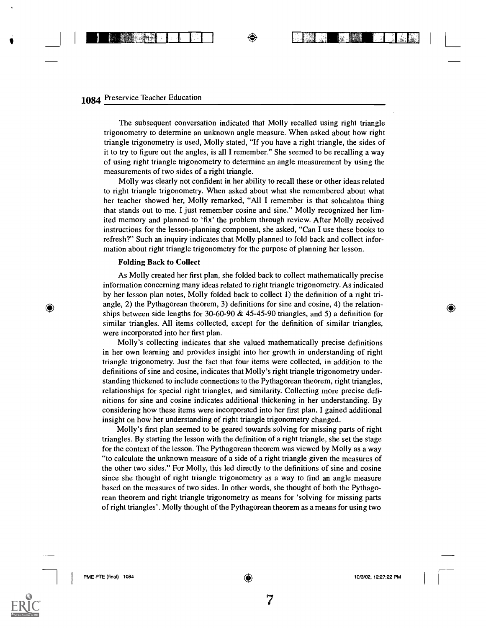\_1 <sup>I</sup> I B M ¢ <sup>1</sup> <sup>I</sup> I I <sup>I</sup>

The subsequent conversation indicated that Molly recalled using right triangle trigonometry to determine an unknown angle measure. When asked about how right triangle trigonometry is used, Molly stated, "If you have a right triangle, the sides of it to try to figure out the angles, is all I remember." She seemed to be recalling a way of using right triangle trigonometry to determine an angle measurement by using the measurements of two sides of a right triangle.

Molly was clearly not confident in her ability to recall these or other ideas related to right triangle trigonometry. When asked about what she remembered about what her teacher showed her, Molly remarked, "All I remember is that sohcahtoa thing that stands out to me. I just remember cosine and sine." Molly recognized her limited memory and planned to 'fix' the problem through review. After Molly received instructions for the lesson-planning component, she asked, "Can I use these books to refresh?" Such an inquiry indicates that Molly planned to fold back and collect information about right triangle trigonometry for the purpose of planning her lesson.

#### Folding Back to Collect

As Molly created her first plan, she folded back to collect mathematically precise information concerning many ideas related to right triangle trigonometry. As indicated by her lesson plan notes, Molly folded back to collect 1) the definition of a right triangle, 2) the Pythagorean theorem, 3) definitions for sine and cosine, 4) the relationships between side lengths for 30-60-90 & 45-45-90 triangles, and 5) a definition for similar triangles. All items collected, except for the definition of similar triangles, were incorporated into her first plan.

Molly's collecting indicates that she valued mathematically precise definitions in her own learning and provides insight into her growth in understanding of right triangle trigonometry. Just the fact that four items were collected, in addition to the definitions of sine and cosine, indicates that Molly's right triangle trigonometry understanding thickened to include connections to the Pythagorean theorem, right triangles, relationships for special right triangles, and similarity. Collecting more precise definitions for sine and cosine indicates additional thickening in her understanding. By considering how these items were incorporated into her first plan, I gained additional insight on how her understanding of right triangle trigonometry changed.

Molly's first plan seemed to be geared towards solving for missing parts of right triangles. By starting the lesson with the definition of a right triangle, she set the stage for the context of the lesson. The Pythagorean theorem was viewed by Molly as a way "to calculate the unknown measure of a side of a right triangle given the measures of the other two sides." For Molly, this led directly to the definitions of sine and cosine since she thought of right triangle trigonometry as a way to find an angle measure based on the measures of two sides. In other words, she thought of both the Pythagorean theorem and right triangle trigonometry as means for 'solving for missing parts of right triangles'. Molly thought of the Pythagorean theorem as a means for using two

 $_{\odot}$ 

 $\lfloor$ 

◈

 $\mathcal{I}$  . The set of  $\mathcal{I}$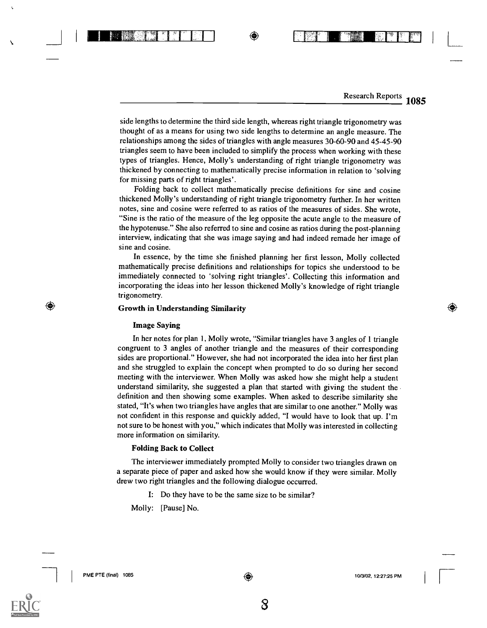Research Reports 1085

◈

side lengths to determine the third side length, whereas right triangle trigonometry was thought of as a means for using two side lengths to determine an angle measure. The relationships among the sides of triangles with angle measures 30-60-90 and 45-45-90 triangles seem to have been included to simplify the process when working with these types of triangles. Hence, Molly's understanding of right triangle trigonometry was thickened by connecting to mathematically precise information in relation to 'solving for missing parts of right triangles'.

Folding back to collect mathematically precise definitions for sine and cosine thickened Molly's understanding of right triangle trigonometry further. In her written notes, sine and cosine were referred to as ratios of the measures of sides. She wrote, "Sine is the ratio of the measure of the leg opposite the acute angle to the measure of the hypotenuse." She also referred to sine and cosine as ratios during the post-planning interview, indicating that she was image saying and had indeed remade her image of sine and cosine.

In essence, by the time she finished planning her first lesson, Molly collected mathematically precise definitions and relationships for topics she understood to be immediately connected to 'solving right triangles'. Collecting this information and incorporating the ideas into her lesson thickened Molly's knowledge of right triangle trigonometry.

#### Growth in Understanding Similarity

ESN I I I O

#### Image Saying

In her notes for plan 1, Molly wrote, "Similar triangles have 3 angles of 1 triangle congruent to 3 angles of another triangle and the measures of their corresponding sides are proportional." However, she had not incorporated the idea into her first plan and she struggled to explain the concept when prompted to do so during her second meeting with the interviewer. When Molly was asked how she might help a student understand similarity, she suggested a plan that started with giving the student the definition and then showing some examples. When asked to describe similarity she stated, "It's when two triangles have angles that are similar to one another." Molly was not confident in this response and quickly added, "I would have to look that up. I'm not sure to be honest with you," which indicates that Molly was interested in collecting more information on similarity.

#### Folding Back to Collect

The interviewer immediately prompted Molly to consider two triangles drawn on a separate piece of paper and asked how she would know if they were similar. Molly drew two right triangles and the following dialogue occurred.

I: Do they have to be the same size to be similar?

Molly: [Pause] No.

⊕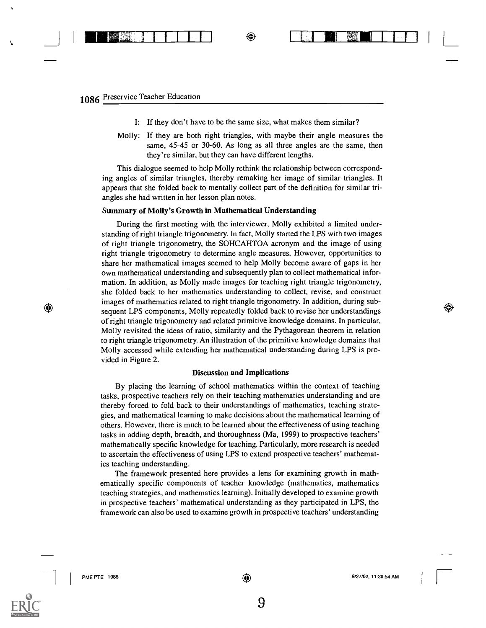**I BEER CARD** 

- I: If they don't have to be the same size, what makes them similar?
- Molly: If they are both right triangles, with maybe their angle measures the same, 45-45 or 30-60. As long as all three angles are the same, then they're similar, but they can have different lengths.

This dialogue seemed to help Molly rethink the relationship between corresponding angles of similar triangles, thereby remaking her image of similar triangles. It appears that she folded back to mentally collect part of the definition for similar triangles she had written in her lesson plan notes.

#### Summary of Molly's Growth in Mathematical Understanding

During the first meeting with the interviewer, Molly exhibited a limited understanding of right triangle trigonometry. In fact, Molly started the LPS with two images of right triangle trigonometry, the SOHCAHTOA acronym and the image of using right triangle trigonometry to determine angle measures. However, opportunities to share her mathematical images seemed to help Molly become aware of gaps in her own mathematical understanding and subsequently plan to collect mathematical information. In addition, as Molly made images for teaching right triangle trigonometry, she folded back to her mathematics understanding to collect, revise, and construct images of mathematics related to right triangle trigonometry. In addition, during subsequent LPS components, Molly repeatedly folded back to revise her understandings of right triangle trigonometry and related primitive knowledge domains. In particular, Molly revisited the ideas of ratio, similarity and the Pythagorean theorem in relation to right triangle trigonometry. An illustration of the primitive knowledge domains that Molly accessed while extending her mathematical understanding during LPS is provided in Figure 2.

#### Discussion and Implications

By placing the learning of school mathematics within the context of teaching tasks, prospective teachers rely on their teaching mathematics understanding and are thereby forced to fold back to their understandings of mathematics, teaching strategies, and mathematical learning to make decisions about the mathematical learning of others. However, there is much to be learned about the effectiveness of using teaching tasks in adding depth, breadth, and thoroughness (Ma, 1999) to prospective teachers' mathematically specific knowledge for teaching. Particularly, more research is needed to ascertain the effectiveness of using LPS to extend prospective teachers' mathematics teaching understanding.

The framework presented here provides a lens for examining growth in mathematically specific components of teacher knowledge (mathematics, mathematics teaching strategies, and mathematics learning). Initially developed to examine growth in prospective teachers' mathematical understanding as they participated in LPS, the framework can also be used to examine growth in prospective teachers' understanding

 $^\circledR$ 

I

⊕

 $\bullet$  I and  $\blacksquare$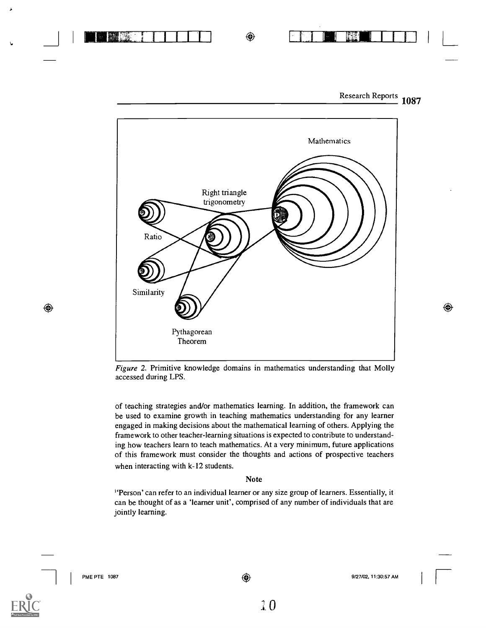

◈



Figure 2. Primitive knowledge domains in mathematics understanding that Molly accessed during LPS.

of teaching strategies and/or mathematics learning. In addition, the framework can be used to examine growth in teaching mathematics understanding for any learner engaged in making decisions about the mathematical learning of others. Applying the framework to other teacher-learning situations is expected to contribute to understanding how teachers learn to teach mathematics. At a very minimum, future applications of this framework must consider the thoughts and actions of prospective teachers when interacting with k-12 students.

#### Note

<sup>i</sup>'Person' can refer to an individual learner or any size group of learners. Essentially, it can be thought of as a 'learner unit', comprised of any number of individuals that are jointly learning.



 $^{\circledR}$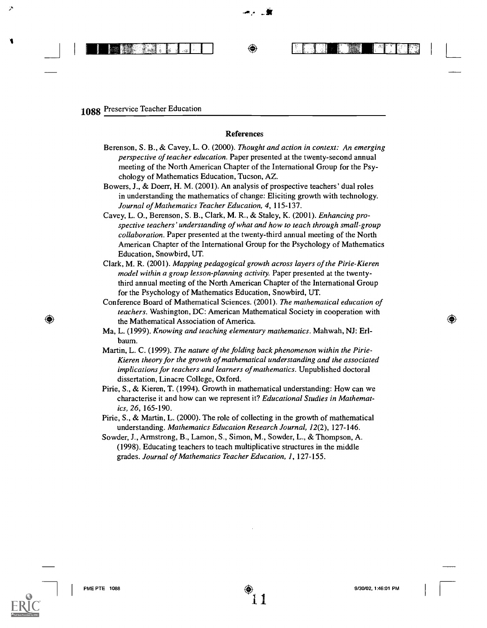### 1088 Preservice Teacher Education

**I BM- 1111** 4

#### References

- Berenson, S. B., & Cavey, L. 0. (2000). Thought and action in context: An emerging perspective of teacher education. Paper presented at the twenty-second annual meeting of the North American Chapter of the International Group for the Psychology of Mathematics Education, Tucson, AZ.
- Bowers, J., & Doerr, H. M. (2001). An analysis of prospective teachers' dual roles in understanding the mathematics of change: Eliciting growth with technology. Journal of Mathematics Teacher Education, 4, 115-137.
- Cavey, L. 0., Berenson, S. B., Clark, M. R., & Staley, K. (2001). Enhancing prospective teachers' understanding of what and how to teach through small-group collaboration. Paper presented at the twenty-third annual meeting of the North American Chapter of the International Group for the Psychology of Mathematics Education, Snowbird, UT.
- Clark, M. R. (2001). Mapping pedagogical growth across layers of the Pirie-Kieren model within a group lesson-planning activity. Paper presented at the twentythird annual meeting of the North American Chapter of the International Group for the Psychology of Mathematics Education, Snowbird, UT.
- Conference Board of Mathematical Sciences. (2001). The mathematical education of teachers. Washington, DC: American Mathematical Society in cooperation with the Mathematical Association of America.
- Ma, L. (1999). Knowing and teaching elementary mathematics. Mahwah, NJ: Erlbaum.
- Martin, L. C. (1999). The nature of the folding back phenomenon within the Pirie-Kieren theory for the growth of mathematical understanding and the associated implications for teachers and learners of mathematics. Unpublished doctoral dissertation, Linacre College, Oxford.
- Pirie, S., & Kieren, T. (1994). Growth in mathematical understanding: How can we characterise it and how can we represent it? Educational Studies in Mathematics, 26, 165-190.
- Pirie, S., & Martin, L. (2000). The role of collecting in the growth of mathematical understanding. Mathematics Education Research Journal, 12(2), 127-146.
- Sowder, J., Armstrong, B., Lamon, S., Simon, M., Sowder, L., & Thompson, A. (1998). Educating teachers to teach multiplicative structures in the middle grades. Journal of Mathematics Teacher Education, 1, 127-155.



◉

Allie II: Erland III: Erland III

 $\circledast$